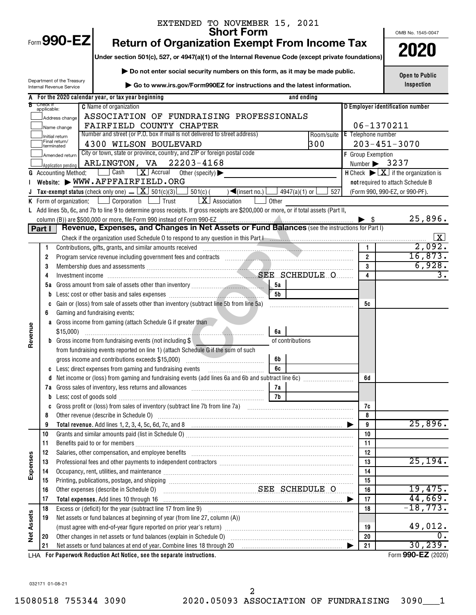|            |                         | EXTENDED TO NOVEMBER 15, 2021                                                                                                                                                                                                        |                                |      |                                                                                           |
|------------|-------------------------|--------------------------------------------------------------------------------------------------------------------------------------------------------------------------------------------------------------------------------------|--------------------------------|------|-------------------------------------------------------------------------------------------|
|            |                         | <b>Short Form</b><br>Form 990-EZ                                                                                                                                                                                                     |                                |      | OMB No. 1545-0047                                                                         |
|            |                         | <b>Return of Organization Exempt From Income Tax</b>                                                                                                                                                                                 |                                |      | 2020                                                                                      |
|            |                         | Under section 501(c), 527, or 4947(a)(1) of the Internal Revenue Code (except private foundations)                                                                                                                                   |                                |      |                                                                                           |
|            |                         | Do not enter social security numbers on this form, as it may be made public.                                                                                                                                                         |                                |      | <b>Open to Public</b>                                                                     |
|            |                         | Department of the Treasury<br>Go to www.irs.gov/Form990EZ for instructions and the latest information.<br>Internal Revenue Service                                                                                                   |                                |      | Inspection                                                                                |
|            |                         | A For the 2020 calendar year, or tax year beginning<br>and ending                                                                                                                                                                    |                                |      |                                                                                           |
|            | Check if<br>applicable: | <b>C</b> Name of organization                                                                                                                                                                                                        |                                |      | D Employer identification number                                                          |
|            |                         | ASSOCIATION OF FUNDRAISING PROFESSIONALS<br>Address change                                                                                                                                                                           |                                |      |                                                                                           |
|            |                         | FAIRFIELD COUNTY CHAPTER<br>Name change                                                                                                                                                                                              |                                |      | 06-1370211                                                                                |
|            |                         | Number and street (or P.O. box if mail is not delivered to street address)<br>Room/suite E Telephone number<br>Initial return                                                                                                        |                                |      |                                                                                           |
|            |                         | Final return/<br>300<br>4300 WILSON BOULEVARD<br>Iterminated                                                                                                                                                                         |                                |      | $203 - 451 - 3070$                                                                        |
|            |                         | City or town, state or province, country, and ZIP or foreign postal code<br>Amended return                                                                                                                                           | F Group Exemption              |      |                                                                                           |
|            |                         | ARLINGTON, VA 22203-4168<br>Application pending                                                                                                                                                                                      |                                |      | Number $\triangleright$ 3237                                                              |
|            |                         | $\mathbf{X}$ Accrual<br>Cash<br>Other (specify) $\blacktriangleright$<br><b>G</b> Accounting Method:                                                                                                                                 |                                |      | <b>H</b> Check $\blacktriangleright \lfloor \underline{X} \rfloor$ if the organization is |
|            |                         | Website: WWW.AFPFAIRFIELD.ORG                                                                                                                                                                                                        |                                |      | not required to attach Schedule B                                                         |
|            |                         | Tax-exempt status (check only one) $\boxed{\mathbf{X}}$ 501(c)(3)<br>$\Box$ 501(c) (<br>$\sqrt{\frac{1}{1}}$ (insert no.)<br>4947(a)(1) or [<br>527                                                                                  |                                |      | (Form 990, 990-EZ, or 990-PF).                                                            |
|            |                         | $\vert X \vert$ Association<br>$\Box$ Corporation $\Box$<br>  Trust<br>K Form of organization:<br>Other                                                                                                                              |                                |      |                                                                                           |
|            |                         | L Add lines 5b, 6c, and 7b to line 9 to determine gross receipts. If gross receipts are \$200,000 or more, or if total assets (Part II,                                                                                              |                                |      |                                                                                           |
|            |                         | Revenue, Expenses, and Changes in Net Assets or Fund Balances (see the instructions for Part I)                                                                                                                                      |                                | - \$ | 25,896.                                                                                   |
|            | Part I                  |                                                                                                                                                                                                                                      |                                |      |                                                                                           |
|            |                         |                                                                                                                                                                                                                                      |                                |      | 2,092.                                                                                    |
|            | 1                       |                                                                                                                                                                                                                                      | $\mathbf{1}$<br>$\overline{2}$ |      | 16,873.                                                                                   |
|            | 2<br>3                  |                                                                                                                                                                                                                                      | 3                              |      | 6,928.                                                                                    |
|            | 4                       | Membership dues and assessments<br>Investment income<br>Investment income<br>All the state of the set of the set of the set of the set of the set of the set of the set of the set of the set of the set of the set of the set of th | 4                              |      | 3.                                                                                        |
|            | 5а                      | 5а                                                                                                                                                                                                                                   |                                |      |                                                                                           |
|            | b                       | 5b                                                                                                                                                                                                                                   |                                |      |                                                                                           |
|            | C                       | Gain or (loss) from sale of assets other than inventory (subtract line 5b from line 5a)                                                                                                                                              | 5c                             |      |                                                                                           |
|            | 6                       | Gaming and fundraising events:                                                                                                                                                                                                       |                                |      |                                                                                           |
|            |                         | a Gross income from gaming (attach Schedule G if greater than                                                                                                                                                                        |                                |      |                                                                                           |
| Revenue    |                         | \$15,000<br>6a                                                                                                                                                                                                                       |                                |      |                                                                                           |
|            |                         | <b>b</b> Gross income from fundraising events (not including \$<br>of contributions                                                                                                                                                  |                                |      |                                                                                           |
|            |                         | from fundraising events reported on line 1) (attach Schedule G if the sum of such                                                                                                                                                    |                                |      |                                                                                           |
|            |                         | gross income and contributions exceeds \$15,000)<br>6b                                                                                                                                                                               |                                |      |                                                                                           |
|            | C                       | Less: direct expenses from gaming and fundraising events<br>6c                                                                                                                                                                       |                                |      |                                                                                           |
|            | d                       |                                                                                                                                                                                                                                      | 6d                             |      |                                                                                           |
|            |                         | 7a                                                                                                                                                                                                                                   |                                |      |                                                                                           |
|            | b                       | 7b                                                                                                                                                                                                                                   |                                |      |                                                                                           |
|            | C                       |                                                                                                                                                                                                                                      | 7c                             |      |                                                                                           |
|            | 8                       |                                                                                                                                                                                                                                      | 8                              |      | 25,896.                                                                                   |
|            | 9<br>10                 |                                                                                                                                                                                                                                      | 9                              |      |                                                                                           |
|            | 11                      |                                                                                                                                                                                                                                      | 10<br>11                       |      |                                                                                           |
|            | 12                      | Salaries, other compensation, and employee benefits [11] manufactures in the community of the compensation, and employee benefits [11] manufactures in the community of the community of the community of the community of the       | 12                             |      |                                                                                           |
|            | 13                      | Professional fees and other payments to independent contractors [11] matter contractors [11] professional fees and other payments to independent contractors [11] matter contractors and the Professional fees and the Profess       | 13                             |      | 25, 194.                                                                                  |
| Expenses   | 14                      | Occupancy, rent, utilities, and maintenance manufactured and according term of the manufacture of the manufacture                                                                                                                    | 14                             |      |                                                                                           |
|            | 15                      |                                                                                                                                                                                                                                      | 15                             |      |                                                                                           |
|            | 16                      | SEE SCHEDULE O<br>Other expenses (describe in Schedule O)                                                                                                                                                                            | 16                             |      | 19,475.                                                                                   |
|            | 17                      | Total expenses. Add lines 10 through 16                                                                                                                                                                                              | 17<br>▶                        |      | 44,669.                                                                                   |
|            | 18                      |                                                                                                                                                                                                                                      | 18                             |      | $-18, 773.$                                                                               |
| Net Assets | 19                      | Net assets or fund balances at beginning of year (from line 27, column (A))                                                                                                                                                          |                                |      |                                                                                           |
|            |                         |                                                                                                                                                                                                                                      | 19                             |      | 49,012.                                                                                   |
|            | 20                      |                                                                                                                                                                                                                                      | 20                             |      | $\overline{0}$ .                                                                          |
|            | 21                      | Net assets or fund balances at end of year. Combine lines 18 through 20 [11, 120] Met assets or fund balances at end of year. Combine lines 18 through 20                                                                            | 21                             |      | 30, 239.                                                                                  |
|            |                         | LHA For Paperwork Reduction Act Notice, see the separate instructions.                                                                                                                                                               |                                |      | Form 990-EZ (2020)                                                                        |

032171 01-08-21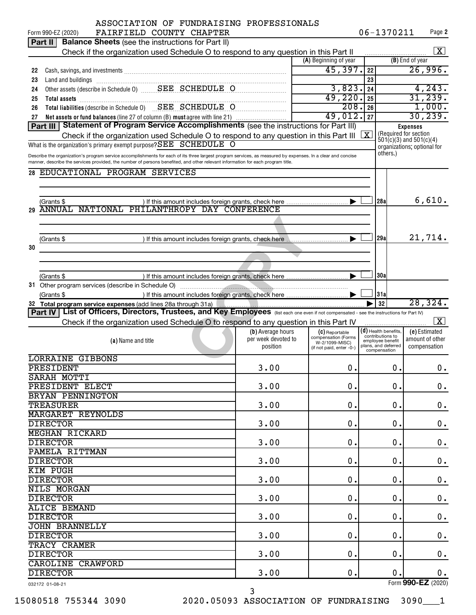|    | ASSOCIATION OF FUNDRAISING PROFESSIONALS<br>FAIRFIELD COUNTY CHAPTER                                                                                        |                                 |                                            |    | 06-1370211                                            |                 | Page 2                              |
|----|-------------------------------------------------------------------------------------------------------------------------------------------------------------|---------------------------------|--------------------------------------------|----|-------------------------------------------------------|-----------------|-------------------------------------|
|    | Form 990-EZ (2020)<br><b>Balance Sheets</b> (see the instructions for Part II)<br>Part II                                                                   |                                 |                                            |    |                                                       |                 |                                     |
|    |                                                                                                                                                             |                                 |                                            |    |                                                       |                 | X                                   |
|    | Check if the organization used Schedule O to respond to any question in this Part II                                                                        |                                 | (A) Beginning of year                      |    |                                                       | (B) End of year |                                     |
|    |                                                                                                                                                             |                                 | 45,397.                                    |    |                                                       |                 | 26,996.                             |
| 22 |                                                                                                                                                             |                                 |                                            | 22 |                                                       |                 |                                     |
| 23 | Land and buildings information and contact the contract of the contract of the contract of the contract of the                                              |                                 |                                            | 23 |                                                       |                 |                                     |
| 24 |                                                                                                                                                             |                                 | 3,823.                                     | 24 |                                                       |                 | 4,243.<br>31,239.                   |
| 25 |                                                                                                                                                             |                                 | 49,220.                                    | 25 |                                                       |                 |                                     |
| 26 | Total liabilities (describe in Schedule 0) SEE SCHEDULE O                                                                                                   |                                 | 208.                                       | 26 |                                                       |                 | 1,000.                              |
| 27 | Net assets or fund balances (line 27 of column (B) must agree with line 21)                                                                                 |                                 | 49,012.                                    | 27 |                                                       |                 | 30, 239.                            |
|    | Part III   Statement of Program Service Accomplishments (see the instructions for Part III)                                                                 |                                 |                                            |    |                                                       | <b>Expenses</b> |                                     |
|    | Check if the organization used Schedule O to respond to any question in this Part III                                                                       |                                 |                                            | X  | (Required for section)<br>$501(c)(3)$ and $501(c)(4)$ |                 |                                     |
|    | What is the organization's primary exempt purpose? SEE SCHEDULE O                                                                                           |                                 |                                            |    | organizations; optional for                           |                 |                                     |
|    | Describe the organization's program service accomplishments for each of its three largest program services, as measured by expenses. In a clear and concise |                                 |                                            |    | others.)                                              |                 |                                     |
|    | manner, describe the services provided, the number of persons benefited, and other relevant information for each program title.                             |                                 |                                            |    |                                                       |                 |                                     |
|    | 28 EDUCATIONAL PROGRAM SERVICES                                                                                                                             |                                 |                                            |    |                                                       |                 |                                     |
|    |                                                                                                                                                             |                                 |                                            |    |                                                       |                 |                                     |
|    |                                                                                                                                                             |                                 |                                            |    |                                                       |                 |                                     |
|    | (Grants \$                                                                                                                                                  |                                 |                                            |    | 28a                                                   |                 | 6,610.                              |
| 29 | ANNUAL NATIONAL PHILANTHROPY DAY CONFERENCE                                                                                                                 |                                 |                                            |    |                                                       |                 |                                     |
|    |                                                                                                                                                             |                                 |                                            |    |                                                       |                 |                                     |
|    |                                                                                                                                                             |                                 |                                            |    |                                                       |                 |                                     |
|    | (Grants \$                                                                                                                                                  |                                 |                                            |    | 29a                                                   |                 | 21,714.                             |
| 30 |                                                                                                                                                             |                                 |                                            |    |                                                       |                 |                                     |
|    |                                                                                                                                                             |                                 |                                            |    |                                                       |                 |                                     |
|    |                                                                                                                                                             |                                 |                                            |    |                                                       |                 |                                     |
|    | (Grants \$                                                                                                                                                  |                                 |                                            |    | 30a                                                   |                 |                                     |
|    |                                                                                                                                                             |                                 |                                            |    |                                                       |                 |                                     |
|    | (Grants \$                                                                                                                                                  |                                 |                                            |    |                                                       |                 |                                     |
|    |                                                                                                                                                             |                                 |                                            |    |                                                       |                 |                                     |
|    |                                                                                                                                                             |                                 |                                            |    | 31a                                                   |                 |                                     |
|    | 32 Total program service expenses (add lines 28a through 31a)                                                                                               |                                 |                                            |    | 32                                                    |                 | 28,324.                             |
|    | Part IV List of Officers, Directors, Trustees, and Key Employees (list each one even if not compensated - see the instructions for Part IV)                 |                                 |                                            |    |                                                       |                 |                                     |
|    | Check if the organization used Schedule O to respond to any question in this Part IV                                                                        |                                 |                                            |    |                                                       |                 | $\mathbf{X}$                        |
|    |                                                                                                                                                             | (b) Average hours               | (C) Reportable<br>compensation (Forms      |    | $(d)$ Health benefits,<br>contributions to            |                 | (e) Estimated<br>amount of other    |
|    | (a) Name and title                                                                                                                                          | per week devoted to<br>position | W-2/1099-MISC)<br>(if not paid, enter -0-) |    | employee benefit<br>plans, and deferred               |                 | compensation                        |
|    |                                                                                                                                                             |                                 |                                            |    | compensation                                          |                 |                                     |
|    | <b>LORRAINE GIBBONS</b>                                                                                                                                     |                                 |                                            |    |                                                       |                 |                                     |
|    | PRESIDENT                                                                                                                                                   | 3.00                            | $\boldsymbol{0}$ .                         |    | $\mathbf 0$ .                                         |                 | 0.                                  |
|    | SARAH MOTTI                                                                                                                                                 |                                 |                                            |    |                                                       |                 |                                     |
|    | PRESIDENT ELECT                                                                                                                                             | 3.00                            | 0.                                         |    | 0.                                                    |                 | $\mathbf 0$ .                       |
|    | BRYAN PENNINGTON                                                                                                                                            |                                 |                                            |    |                                                       |                 |                                     |
|    | <b>TREASURER</b>                                                                                                                                            | 3.00                            | 0.                                         |    | 0.                                                    |                 | $\mathbf 0$ .                       |
|    | <b>MARGARET REYNOLDS</b>                                                                                                                                    |                                 |                                            |    |                                                       |                 |                                     |
|    | <b>DIRECTOR</b>                                                                                                                                             | 3.00                            | 0.                                         |    | 0.                                                    |                 | $\mathbf 0$ .                       |
|    | <b>MEGHAN RICKARD</b>                                                                                                                                       |                                 |                                            |    |                                                       |                 |                                     |
|    | <b>DIRECTOR</b>                                                                                                                                             | 3.00                            | 0.                                         |    | 0.                                                    |                 | $\mathbf 0$ .                       |
|    | PAMELA RITTMAN                                                                                                                                              |                                 |                                            |    |                                                       |                 |                                     |
|    | <b>DIRECTOR</b>                                                                                                                                             | 3.00                            | 0.                                         |    | 0.                                                    |                 | $\mathbf 0$ .                       |
|    | <b>KIM PUGH</b>                                                                                                                                             |                                 |                                            |    |                                                       |                 |                                     |
|    | <b>DIRECTOR</b>                                                                                                                                             | 3.00                            | 0.                                         |    | 0.                                                    |                 | $\mathbf 0$ .                       |
|    | <b>NILS MORGAN</b>                                                                                                                                          |                                 |                                            |    |                                                       |                 |                                     |
|    | <b>DIRECTOR</b>                                                                                                                                             | 3.00                            | 0.                                         |    | 0.                                                    |                 | $\mathbf 0$ .                       |
|    | <b>ALICE BEMAND</b>                                                                                                                                         |                                 |                                            |    |                                                       |                 |                                     |
|    | <b>DIRECTOR</b>                                                                                                                                             | 3.00                            | 0.                                         |    | 0.                                                    |                 | $\mathbf 0$ .                       |
|    | <b>JOHN BRANNELLY</b>                                                                                                                                       |                                 |                                            |    |                                                       |                 |                                     |
|    | <b>DIRECTOR</b>                                                                                                                                             | 3.00                            | 0.                                         |    | 0.                                                    |                 | $\mathbf 0$ .                       |
|    | TRACY CRAMER                                                                                                                                                |                                 |                                            |    |                                                       |                 |                                     |
|    |                                                                                                                                                             |                                 |                                            |    |                                                       |                 |                                     |
|    | <b>DIRECTOR</b>                                                                                                                                             | 3.00                            | 0.                                         |    | 0.                                                    |                 | $\mathbf 0$ .                       |
|    | <b>CAROLINE CRAWFORD</b>                                                                                                                                    |                                 |                                            |    |                                                       |                 |                                     |
|    | <b>DIRECTOR</b><br>032172 01-08-21                                                                                                                          | 3.00                            | 0.                                         |    | $\mathbf 0$ .                                         |                 | $\mathbf 0$ .<br>Form 990-EZ (2020) |

15080518 755344 3090 2020.05093 ASSOCIATION OF FUNDRAISING 3090\_\_\_1

3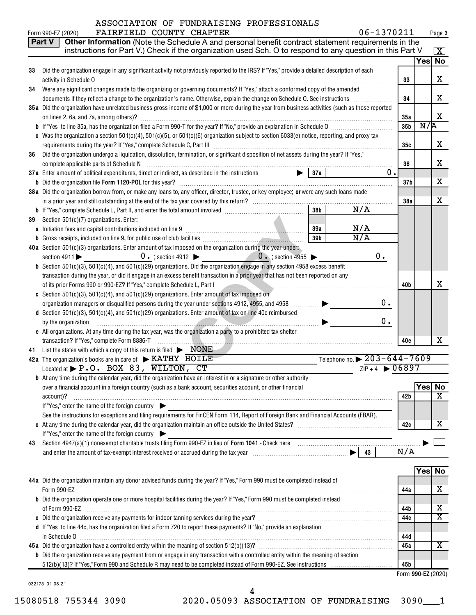#### Form 990-EZ (2020) FAIRFIELD COUNTY CHAPTER  $06-1370211$  Page ASSOCIATION OF FUNDRAISING PROFESSIONALS

**3**

|    | Other Information (Note the Schedule A and personal benefit contract statement requirements in the<br>Part V                                                                                                 |                 |     |                         |  |  |  |  |
|----|--------------------------------------------------------------------------------------------------------------------------------------------------------------------------------------------------------------|-----------------|-----|-------------------------|--|--|--|--|
|    | instructions for Part V.) Check if the organization used Sch. O to respond to any question in this Part V                                                                                                    |                 |     | $\mathbf{X}$            |  |  |  |  |
| 33 | Did the organization engage in any significant activity not previously reported to the IRS? If "Yes," provide a detailed description of each                                                                 |                 |     | Yes No                  |  |  |  |  |
|    | activity in Schedule O                                                                                                                                                                                       | 33              |     | X                       |  |  |  |  |
| 34 | Were any significant changes made to the organizing or governing documents? If "Yes," attach a conformed copy of the amended                                                                                 |                 |     |                         |  |  |  |  |
|    |                                                                                                                                                                                                              | 34              |     | x                       |  |  |  |  |
|    | 35a Did the organization have unrelated business gross income of \$1,000 or more during the year from business activities (such as those reported                                                            |                 |     |                         |  |  |  |  |
|    | on lines 2, 6a, and 7a, among others)?                                                                                                                                                                       |                 |     |                         |  |  |  |  |
|    |                                                                                                                                                                                                              | 35 <sub>b</sub> | N/R |                         |  |  |  |  |
|    | c Was the organization a section $501(c)(4)$ , $501(c)(5)$ , or $501(c)(6)$ organization subject to section 6033(e) notice, reporting, and proxy tax                                                         |                 |     |                         |  |  |  |  |
|    |                                                                                                                                                                                                              |                 |     |                         |  |  |  |  |
| 36 | Did the organization undergo a liquidation, dissolution, termination, or significant disposition of net assets during the year? If "Yes,"                                                                    | 36              |     | х                       |  |  |  |  |
|    | $0$ .                                                                                                                                                                                                        |                 |     |                         |  |  |  |  |
|    |                                                                                                                                                                                                              | 37 <sub>b</sub> |     | х                       |  |  |  |  |
|    | 38a Did the organization borrow from, or make any loans to, any officer, director, trustee, or key employee; or were any such loans made                                                                     |                 |     |                         |  |  |  |  |
|    |                                                                                                                                                                                                              | 38a             |     | X                       |  |  |  |  |
|    | N/A<br>38 <sub>b</sub>                                                                                                                                                                                       |                 |     |                         |  |  |  |  |
| 39 | Section 501(c)(7) organizations. Enter:                                                                                                                                                                      |                 |     |                         |  |  |  |  |
|    | N/A<br>39a<br>a Initiation fees and capital contributions included on line 9 [11] [11] matter contract the same contribution                                                                                 |                 |     |                         |  |  |  |  |
|    | $\overline{N/A}$<br>39 <sub>b</sub>                                                                                                                                                                          |                 |     |                         |  |  |  |  |
|    | 40a Section 501(c)(3) organizations. Enter amount of tax imposed on the organization during the year under:<br>0.<br>$0 \cdot$ ; section 4912 $\bullet$ 0 $\cdot$ ; section 4955 $\bullet$<br>section $4911$ |                 |     |                         |  |  |  |  |
|    | <b>b</b> Section 501(c)(3), 501(c)(4), and 501(c)(29) organizations. Did the organization engage in any section 4958 excess benefit                                                                          |                 |     |                         |  |  |  |  |
|    | transaction during the year, or did it engage in an excess benefit transaction in a prior year that has not been reported on any                                                                             |                 |     |                         |  |  |  |  |
|    | of its prior Forms 990 or 990-EZ? If "Yes," complete Schedule L, Part I                                                                                                                                      | 40b             |     | x                       |  |  |  |  |
|    | c Section 501(c)(3), 501(c)(4), and 501(c)(29) organizations. Enter amount of tax imposed on                                                                                                                 |                 |     |                         |  |  |  |  |
|    | 0.<br>organization managers or disqualified persons during the year under sections 4912, 4955, and 4958 <i>mmmmm</i>                                                                                         |                 |     |                         |  |  |  |  |
|    | d Section 501(c)(3), 501(c)(4), and 501(c)(29) organizations. Enter amount of tax on line 40c reimbursed                                                                                                     |                 |     |                         |  |  |  |  |
|    | 0.<br>by the organization                                                                                                                                                                                    |                 |     |                         |  |  |  |  |
|    | e All organizations. At any time during the tax year, was the organization a party to a prohibited tax shelter                                                                                               | 40e             |     | x                       |  |  |  |  |
| 41 | transaction? If "Yes," complete Form 8886-T<br>.<br>List the states with which a copy of this return is filed $\blacktriangleright$ $\text{NONE}$                                                            |                 |     |                         |  |  |  |  |
|    | Telephone no. $\triangleright$ 203-644-7609<br>42a The organization's books are in care of KATHY HOILE                                                                                                       |                 |     |                         |  |  |  |  |
|    | $ZIP + 4$ $\triangleright$ 06897<br>Located at P.O. BOX 83, WILTON, CT                                                                                                                                       |                 |     |                         |  |  |  |  |
|    | <b>b</b> At any time during the calendar year, did the organization have an interest in or a signature or other authority                                                                                    |                 |     |                         |  |  |  |  |
|    | over a financial account in a foreign country (such as a bank account, securities account, or other financial                                                                                                |                 |     | Yes No                  |  |  |  |  |
|    | account)?                                                                                                                                                                                                    | 42b             |     | $\overline{\textbf{X}}$ |  |  |  |  |
|    | If "Yes," enter the name of the foreign country                                                                                                                                                              |                 |     |                         |  |  |  |  |
|    | See the instructions for exceptions and filing requirements for FinCEN Form 114, Report of Foreign Bank and Financial Accounts (FBAR).                                                                       | 42c             |     | х                       |  |  |  |  |
|    | If "Yes," enter the name of the foreign country                                                                                                                                                              |                 |     |                         |  |  |  |  |
| 43 |                                                                                                                                                                                                              |                 |     |                         |  |  |  |  |
|    |                                                                                                                                                                                                              | N/A             |     |                         |  |  |  |  |
|    |                                                                                                                                                                                                              |                 |     |                         |  |  |  |  |
|    |                                                                                                                                                                                                              |                 |     | Yes No                  |  |  |  |  |
|    | 44a Did the organization maintain any donor advised funds during the year? If "Yes," Form 990 must be completed instead of                                                                                   |                 |     |                         |  |  |  |  |
|    | Form 990-EZ                                                                                                                                                                                                  | 44a             |     | х                       |  |  |  |  |
|    | b Did the organization operate one or more hospital facilities during the year? If "Yes," Form 990 must be completed instead                                                                                 | 44b             |     | х                       |  |  |  |  |
|    |                                                                                                                                                                                                              | 44c             |     | $\overline{\texttt{x}}$ |  |  |  |  |
|    | d If "Yes" to line 44c, has the organization filed a Form 720 to report these payments? If "No," provide an explanation                                                                                      |                 |     |                         |  |  |  |  |
|    | in Schedule 0                                                                                                                                                                                                | 44d             |     |                         |  |  |  |  |
|    |                                                                                                                                                                                                              | 45a             |     | $\overline{\mathbf{X}}$ |  |  |  |  |
|    | <b>b</b> Did the organization receive any payment from or engage in any transaction with a controlled entity within the meaning of section                                                                   |                 |     |                         |  |  |  |  |
|    |                                                                                                                                                                                                              | 45b             |     |                         |  |  |  |  |
|    |                                                                                                                                                                                                              |                 |     | Form 990-EZ (2020)      |  |  |  |  |

032173 01-08-21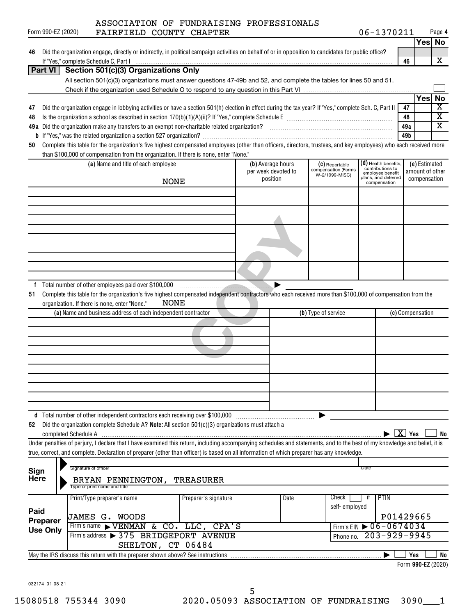| Form 990-EZ (2020) |                      | ASSOCIATION OF FUNDRAISING PROFESSIONALS<br>FAIRFIELD COUNTY CHAPTER                                                                                                                                                                                        |                      |                     |      |                                       | 06-1370211                             |                        | Page 4                  |    |
|--------------------|----------------------|-------------------------------------------------------------------------------------------------------------------------------------------------------------------------------------------------------------------------------------------------------------|----------------------|---------------------|------|---------------------------------------|----------------------------------------|------------------------|-------------------------|----|
|                    |                      |                                                                                                                                                                                                                                                             |                      |                     |      |                                       |                                        |                        | Yes No                  |    |
| 46                 |                      | Did the organization engage, directly or indirectly, in political campaign activities on behalf of or in opposition to candidates for public office?                                                                                                        |                      |                     |      |                                       |                                        |                        |                         |    |
|                    |                      |                                                                                                                                                                                                                                                             |                      |                     |      |                                       |                                        | 46                     | х                       |    |
|                    |                      | Part VI   Section 501(c)(3) Organizations Only                                                                                                                                                                                                              |                      |                     |      |                                       |                                        |                        |                         |    |
|                    |                      | All section 501(c)(3) organizations must answer questions 47-49b and 52, and complete the tables for lines 50 and 51.                                                                                                                                       |                      |                     |      |                                       |                                        |                        |                         |    |
|                    |                      |                                                                                                                                                                                                                                                             |                      |                     |      |                                       |                                        |                        | Yes No                  |    |
| 47                 |                      | Did the organization engage in lobbying activities or have a section 501(h) election in effect during the tax year? If "Yes," complete Sch. C, Part II                                                                                                      |                      |                     |      |                                       |                                        | 47                     | X                       |    |
| 48                 |                      |                                                                                                                                                                                                                                                             |                      |                     |      |                                       |                                        | 48                     | $\overline{\textbf{x}}$ |    |
|                    |                      |                                                                                                                                                                                                                                                             |                      |                     |      |                                       |                                        | 49a                    | X                       |    |
|                    |                      |                                                                                                                                                                                                                                                             |                      |                     |      |                                       |                                        | 49b                    |                         |    |
| 50                 |                      | Complete this table for the organization's five highest compensated employees (other than officers, directors, trustees, and key employees) who each received more<br>than \$100,000 of compensation from the organization. If there is none, enter "None." |                      |                     |      |                                       |                                        |                        |                         |    |
|                    |                      | (a) Name and title of each employee                                                                                                                                                                                                                         |                      | (b) Average hours   |      | (C) Reportable                        | (d) Health benefits,                   |                        | (e) Estimated           |    |
|                    |                      |                                                                                                                                                                                                                                                             |                      | per week devoted to |      | compensation (Forms<br>W-2/1099-MISC) | contributions to<br>employee benefit   |                        | amount of other         |    |
|                    |                      | <b>NONE</b>                                                                                                                                                                                                                                                 |                      | position            |      |                                       | plans, and deferred<br>compensation    |                        | compensation            |    |
|                    |                      |                                                                                                                                                                                                                                                             |                      |                     |      |                                       |                                        |                        |                         |    |
|                    |                      |                                                                                                                                                                                                                                                             |                      |                     |      |                                       |                                        |                        |                         |    |
|                    |                      |                                                                                                                                                                                                                                                             |                      |                     |      |                                       |                                        |                        |                         |    |
|                    |                      |                                                                                                                                                                                                                                                             |                      |                     |      |                                       |                                        |                        |                         |    |
|                    |                      |                                                                                                                                                                                                                                                             |                      |                     |      |                                       |                                        |                        |                         |    |
|                    |                      |                                                                                                                                                                                                                                                             |                      |                     |      |                                       |                                        |                        |                         |    |
|                    |                      |                                                                                                                                                                                                                                                             |                      |                     |      |                                       |                                        |                        |                         |    |
|                    |                      |                                                                                                                                                                                                                                                             |                      |                     |      |                                       |                                        |                        |                         |    |
|                    |                      | f Total number of other employees paid over \$100,000                                                                                                                                                                                                       |                      |                     |      |                                       |                                        |                        |                         |    |
| 51                 |                      | Complete this table for the organization's five highest compensated independent contractors who each received more than \$100,000 of compensation from the                                                                                                  |                      |                     |      |                                       |                                        |                        |                         |    |
|                    |                      | NONE<br>organization. If there is none, enter "None."                                                                                                                                                                                                       |                      |                     |      |                                       |                                        |                        |                         |    |
|                    |                      | (a) Name and business address of each independent contractor                                                                                                                                                                                                |                      |                     |      | (b) Type of service                   |                                        |                        | (c) Compensation        |    |
|                    |                      |                                                                                                                                                                                                                                                             |                      |                     |      |                                       |                                        |                        |                         |    |
|                    |                      |                                                                                                                                                                                                                                                             |                      |                     |      |                                       |                                        |                        |                         |    |
|                    |                      |                                                                                                                                                                                                                                                             |                      |                     |      |                                       |                                        |                        |                         |    |
|                    |                      |                                                                                                                                                                                                                                                             |                      |                     |      |                                       |                                        |                        |                         |    |
|                    |                      |                                                                                                                                                                                                                                                             |                      |                     |      |                                       |                                        |                        |                         |    |
|                    |                      |                                                                                                                                                                                                                                                             |                      |                     |      |                                       |                                        |                        |                         |    |
|                    |                      |                                                                                                                                                                                                                                                             |                      |                     |      |                                       |                                        |                        |                         |    |
|                    |                      |                                                                                                                                                                                                                                                             |                      |                     |      |                                       |                                        |                        |                         |    |
|                    |                      | d Total number of other independent contractors each receiving over \$100,000                                                                                                                                                                               |                      |                     |      |                                       |                                        |                        |                         |    |
| 52                 |                      | Did the organization complete Schedule A? Note: All section 501(c)(3) organizations must attach a                                                                                                                                                           |                      |                     |      |                                       |                                        |                        |                         |    |
|                    | completed Schedule A |                                                                                                                                                                                                                                                             |                      |                     |      |                                       |                                        | $\boxed{\text{X}}$ Yes |                         | No |
|                    |                      | Under penalties of perjury, I declare that I have examined this return, including accompanying schedules and statements, and to the best of my knowledge and belief, it is                                                                                  |                      |                     |      |                                       |                                        |                        |                         |    |
|                    |                      | true, correct, and complete. Declaration of preparer (other than officer) is based on all information of which preparer has any knowledge.                                                                                                                  |                      |                     |      |                                       |                                        |                        |                         |    |
| Sign               |                      | Signature of officer                                                                                                                                                                                                                                        |                      |                     |      |                                       | Date                                   |                        |                         |    |
| <b>Here</b>        |                      | BRYAN PENNINGTON,                                                                                                                                                                                                                                           | <b>TREASURER</b>     |                     |      |                                       |                                        |                        |                         |    |
|                    |                      | Type or print name and title                                                                                                                                                                                                                                |                      |                     |      |                                       |                                        |                        |                         |    |
|                    |                      | Print/Type preparer's name                                                                                                                                                                                                                                  | Preparer's signature |                     | Date | Check                                 | PTIN<br>۱Ť                             |                        |                         |    |
| Paid               |                      |                                                                                                                                                                                                                                                             |                      |                     |      | self-employed                         |                                        |                        |                         |    |
| Preparer           |                      | JAMES G. WOODS<br>Firm's name VENMAN & CO. LLC, CPA'S                                                                                                                                                                                                       |                      |                     |      |                                       | Firm's EIN $\triangleright$ 06-0674034 | P01429665              |                         |    |
| <b>Use Only</b>    |                      | Firm's address > 375 BRIDGEPORT AVENUE                                                                                                                                                                                                                      |                      |                     |      | Phone no.                             | $203 - 929 - 9945$                     |                        |                         |    |
|                    |                      |                                                                                                                                                                                                                                                             |                      |                     |      |                                       |                                        |                        |                         |    |

 $\Box$  Yes  $\Box$  No **990-EZ**  Form (2020)

032174 01-08-21

May the IRS discuss this return with the preparer shown above? See instructions

SHELTON, CT 06484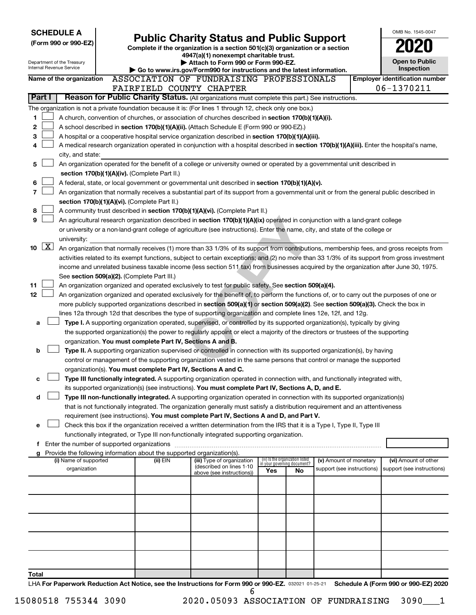| <b>SCHEDULE A</b>        |                     |                                                        |  |                                                                        |                                                                                                                                                                                                                                               |     |                                                                |                            | OMB No. 1545-0047                                   |
|--------------------------|---------------------|--------------------------------------------------------|--|------------------------------------------------------------------------|-----------------------------------------------------------------------------------------------------------------------------------------------------------------------------------------------------------------------------------------------|-----|----------------------------------------------------------------|----------------------------|-----------------------------------------------------|
| (Form 990 or 990-EZ)     |                     |                                                        |  |                                                                        | <b>Public Charity Status and Public Support</b>                                                                                                                                                                                               |     |                                                                |                            |                                                     |
|                          |                     |                                                        |  |                                                                        | Complete if the organization is a section 501(c)(3) organization or a section<br>4947(a)(1) nonexempt charitable trust.                                                                                                                       |     |                                                                |                            |                                                     |
|                          |                     | Department of the Treasury<br>Internal Revenue Service |  |                                                                        | Attach to Form 990 or Form 990-EZ.                                                                                                                                                                                                            |     |                                                                |                            | <b>Open to Public</b>                               |
|                          |                     |                                                        |  |                                                                        | Go to www.irs.gov/Form990 for instructions and the latest information.<br>ASSOCIATION OF FUNDRAISING PROFESSIONALS                                                                                                                            |     |                                                                |                            | Inspection                                          |
|                          |                     | Name of the organization                               |  |                                                                        | FAIRFIELD COUNTY CHAPTER                                                                                                                                                                                                                      |     |                                                                |                            | <b>Employer identification number</b><br>06-1370211 |
|                          | Part I              |                                                        |  |                                                                        | Reason for Public Charity Status. (All organizations must complete this part.) See instructions.                                                                                                                                              |     |                                                                |                            |                                                     |
|                          |                     |                                                        |  |                                                                        | The organization is not a private foundation because it is: (For lines 1 through 12, check only one box.)                                                                                                                                     |     |                                                                |                            |                                                     |
| 1                        |                     |                                                        |  |                                                                        | A church, convention of churches, or association of churches described in section 170(b)(1)(A)(i).                                                                                                                                            |     |                                                                |                            |                                                     |
| 2                        |                     |                                                        |  |                                                                        | A school described in section 170(b)(1)(A)(ii). (Attach Schedule E (Form 990 or 990-EZ).)                                                                                                                                                     |     |                                                                |                            |                                                     |
| 3                        |                     |                                                        |  |                                                                        | A hospital or a cooperative hospital service organization described in section 170(b)(1)(A)(iii).                                                                                                                                             |     |                                                                |                            |                                                     |
| 4                        |                     |                                                        |  |                                                                        | A medical research organization operated in conjunction with a hospital described in section 170(b)(1)(A)(iii). Enter the hospital's name,                                                                                                    |     |                                                                |                            |                                                     |
|                          |                     | city, and state:                                       |  |                                                                        |                                                                                                                                                                                                                                               |     |                                                                |                            |                                                     |
| 5                        |                     |                                                        |  |                                                                        | An organization operated for the benefit of a college or university owned or operated by a governmental unit described in                                                                                                                     |     |                                                                |                            |                                                     |
|                          |                     |                                                        |  | section 170(b)(1)(A)(iv). (Complete Part II.)                          |                                                                                                                                                                                                                                               |     |                                                                |                            |                                                     |
| 6                        |                     |                                                        |  |                                                                        | A federal, state, or local government or governmental unit described in section 170(b)(1)(A)(v).                                                                                                                                              |     |                                                                |                            |                                                     |
| $\overline{\phantom{a}}$ |                     |                                                        |  |                                                                        | An organization that normally receives a substantial part of its support from a governmental unit or from the general public described in                                                                                                     |     |                                                                |                            |                                                     |
| 8                        |                     |                                                        |  | section 170(b)(1)(A)(vi). (Complete Part II.)                          | A community trust described in section 170(b)(1)(A)(vi). (Complete Part II.)                                                                                                                                                                  |     |                                                                |                            |                                                     |
| 9                        |                     |                                                        |  |                                                                        | An agricultural research organization described in section 170(b)(1)(A)(ix) operated in conjunction with a land-grant college                                                                                                                 |     |                                                                |                            |                                                     |
|                          |                     |                                                        |  |                                                                        | or university or a non-land-grant college of agriculture (see instructions). Enter the name, city, and state of the college or                                                                                                                |     |                                                                |                            |                                                     |
|                          |                     | university:                                            |  |                                                                        |                                                                                                                                                                                                                                               |     |                                                                |                            |                                                     |
| 10                       | $\lfloor x \rfloor$ |                                                        |  |                                                                        | An organization that normally receives (1) more than 33 1/3% of its support from contributions, membership fees, and gross receipts from                                                                                                      |     |                                                                |                            |                                                     |
|                          |                     |                                                        |  |                                                                        | activities related to its exempt functions, subject to certain exceptions; and (2) no more than 33 1/3% of its support from gross investment                                                                                                  |     |                                                                |                            |                                                     |
|                          |                     |                                                        |  |                                                                        | income and unrelated business taxable income (less section 511 tax) from businesses acquired by the organization after June 30, 1975.                                                                                                         |     |                                                                |                            |                                                     |
|                          |                     |                                                        |  | See section 509(a)(2). (Complete Part III.)                            |                                                                                                                                                                                                                                               |     |                                                                |                            |                                                     |
| 11                       |                     |                                                        |  |                                                                        | An organization organized and operated exclusively to test for public safety. See section 509(a)(4).                                                                                                                                          |     |                                                                |                            |                                                     |
| 12                       |                     |                                                        |  |                                                                        | An organization organized and operated exclusively for the benefit of, to perform the functions of, or to carry out the purposes of one or                                                                                                    |     |                                                                |                            |                                                     |
|                          |                     |                                                        |  |                                                                        | more publicly supported organizations described in section 509(a)(1) or section 509(a)(2). See section 509(a)(3). Check the box in                                                                                                            |     |                                                                |                            |                                                     |
| a                        |                     |                                                        |  |                                                                        | lines 12a through 12d that describes the type of supporting organization and complete lines 12e, 12f, and 12g.<br>Type I. A supporting organization operated, supervised, or controlled by its supported organization(s), typically by giving |     |                                                                |                            |                                                     |
|                          |                     |                                                        |  |                                                                        | the supported organization(s) the power to regularly appoint or elect a majority of the directors or trustees of the supporting                                                                                                               |     |                                                                |                            |                                                     |
|                          |                     |                                                        |  | organization. You must complete Part IV, Sections A and B.             |                                                                                                                                                                                                                                               |     |                                                                |                            |                                                     |
| b                        |                     |                                                        |  |                                                                        | Type II. A supporting organization supervised or controlled in connection with its supported organization(s), by having                                                                                                                       |     |                                                                |                            |                                                     |
|                          |                     |                                                        |  |                                                                        | control or management of the supporting organization vested in the same persons that control or manage the supported                                                                                                                          |     |                                                                |                            |                                                     |
|                          |                     |                                                        |  | organization(s). You must complete Part IV, Sections A and C.          |                                                                                                                                                                                                                                               |     |                                                                |                            |                                                     |
| с                        |                     |                                                        |  |                                                                        | Type III functionally integrated. A supporting organization operated in connection with, and functionally integrated with,                                                                                                                    |     |                                                                |                            |                                                     |
|                          |                     |                                                        |  |                                                                        | its supported organization(s) (see instructions). You must complete Part IV, Sections A, D, and E.                                                                                                                                            |     |                                                                |                            |                                                     |
| d                        |                     |                                                        |  |                                                                        | Type III non-functionally integrated. A supporting organization operated in connection with its supported organization(s)                                                                                                                     |     |                                                                |                            |                                                     |
|                          |                     |                                                        |  |                                                                        | that is not functionally integrated. The organization generally must satisfy a distribution requirement and an attentiveness<br>requirement (see instructions). You must complete Part IV, Sections A and D, and Part V.                      |     |                                                                |                            |                                                     |
| е                        |                     |                                                        |  |                                                                        | Check this box if the organization received a written determination from the IRS that it is a Type I, Type II, Type III                                                                                                                       |     |                                                                |                            |                                                     |
|                          |                     |                                                        |  |                                                                        | functionally integrated, or Type III non-functionally integrated supporting organization.                                                                                                                                                     |     |                                                                |                            |                                                     |
|                          |                     |                                                        |  | f Enter the number of supported organizations                          |                                                                                                                                                                                                                                               |     |                                                                |                            |                                                     |
| g                        |                     |                                                        |  | Provide the following information about the supported organization(s). |                                                                                                                                                                                                                                               |     |                                                                |                            |                                                     |
|                          |                     | (i) Name of supported                                  |  | (ii) EIN                                                               | (iii) Type of organization<br>(described on lines 1-10                                                                                                                                                                                        |     | (iv) Is the organization listed<br>in your governing document? | (v) Amount of monetary     | (vi) Amount of other                                |
|                          |                     | organization                                           |  |                                                                        | above (see instructions))                                                                                                                                                                                                                     | Yes | No                                                             | support (see instructions) | support (see instructions)                          |
|                          |                     |                                                        |  |                                                                        |                                                                                                                                                                                                                                               |     |                                                                |                            |                                                     |
|                          |                     |                                                        |  |                                                                        |                                                                                                                                                                                                                                               |     |                                                                |                            |                                                     |
|                          |                     |                                                        |  |                                                                        |                                                                                                                                                                                                                                               |     |                                                                |                            |                                                     |
|                          |                     |                                                        |  |                                                                        |                                                                                                                                                                                                                                               |     |                                                                |                            |                                                     |
|                          |                     |                                                        |  |                                                                        |                                                                                                                                                                                                                                               |     |                                                                |                            |                                                     |
|                          |                     |                                                        |  |                                                                        |                                                                                                                                                                                                                                               |     |                                                                |                            |                                                     |
|                          |                     |                                                        |  |                                                                        |                                                                                                                                                                                                                                               |     |                                                                |                            |                                                     |
|                          |                     |                                                        |  |                                                                        |                                                                                                                                                                                                                                               |     |                                                                |                            |                                                     |
|                          |                     |                                                        |  |                                                                        |                                                                                                                                                                                                                                               |     |                                                                |                            |                                                     |
| Total                    |                     |                                                        |  |                                                                        | $f_{\text{out}}$ $F_{\text{out}}$ 000 $\approx$ 000 $E$ 7                                                                                                                                                                                     |     |                                                                |                            | $A$ (Faxed 000 as 000 EZ) 0000                      |

LHA For Paperwork Reduction Act Notice, see the Instructions for Form 990 or 990-EZ. 032021 01-25-21 Schedule A (Form 990 or 990-EZ) 2020 6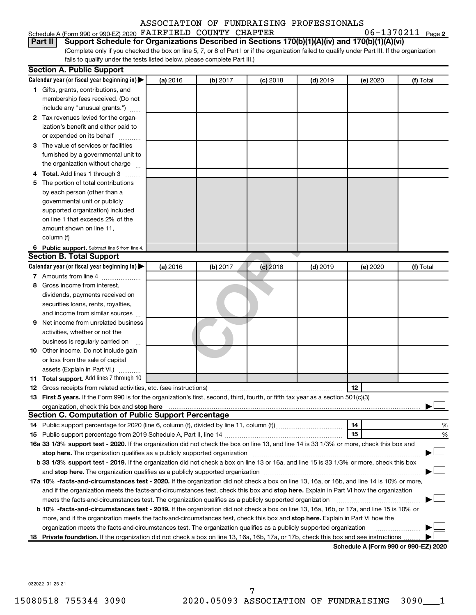# Schedule A (Form 990 or 990-EZ) 2020  $\texttt{FARFIELD}\texttt{ COUNTY } \texttt{CHAPTER} \texttt{06--1370211}$  Page

06-1370211 <sub>Page 2</sub>

(Complete only if you checked the box on line 5, 7, or 8 of Part I or if the organization failed to qualify under Part III. If the organization **Part II Support Schedule for Organizations Described in Sections 170(b)(1)(A)(iv) and 170(b)(1)(A)(vi)**

**(b)** 2017<br>**Co** 2018<br>**Co** 2018<br>**Co** 2019 6 Public support. Subtract line 5 from line 4. **Calendar year (or fiscal year beginning in)**  | **Calendar year (or fiscal year beginning in) | (a)** 2016 **| (b)** 2017 **| (c)** 2018 **| (d)** 2019 **| (e)** 2020 **| (f) 1** Gifts, grants, contributions, and **2** Tax revenues levied for the organ-**3** The value of services or facilities **4 Total.** Add lines 1 through 3  $\ldots$ ... **5** The portion of total contributions **(a)** 2016 **| (b)** 2017 **| (c)** 2018 **| (d)** 2019 **| (e)** 2020 **| (f) 7** Amounts from line 4  $\ldots$  **Amounts** from line 4  $\ldots$ **8** Gross income from interest, **9** Net income from unrelated business **10** Other income. Do not include gain **11 Total support.**  Add lines 7 through 10 **12** Gross receipts from related activities, etc. (see instructions) ~~~~~~~~~~~~~~~~~~~~~~~ **13 First 5 years.**  If the Form 990 is for the organization's first, second, third, fourth, or fifth tax year as a section 501(c)(3) **12 stop here** organization, check this box and | **14 15 14** Public support percentage for 2020 (line 6, column (f), divided by line 11, column (f))~~~~~~~~~~~~ **15** Public support percentage from 2019 Schedule A, Part II, line 14 ~~~~~~~~~~~~~~~~~~~~~ % 16a 33 1/3% support test - 2020. If the organization did not check the box on line 13, and line 14 is 33 1/3% or more, check this box and **17 a 10% -facts-and-circumstances test - 2020.**  If the organization did not check a box on line 13, 16a, or 16b, and line 14 is 10% or more, **b 33 1/3% support test - 2019.** If the organization did not check a box on line 13 or 16a, and line 15 is 33 1/3% or more, check this box **stop here.**  The organization qualifies as a publicly supported organization ~~~~~~~~~~~~~~~~~~~~~~~~~~~~~~ | and stop here. The organization qualifies as a publicly supported organization *\_\_\_\_\_\_\_\_\_\_\_\_\_\_\_\_\_\_\_\_\_\_\_\_\_\_\_\_\_\_\_\_\_* butchered organization *\_\_\_\_\_\_\_\_\_\_\_\_\_\_\_\_\_\_\_\_\_\_\_\_\_\_\_\_\_\_\_\_\_\_* and if the organization meets the facts-and-circumstances test, check this box and stop here. Explain in Part VI how the organization fails to qualify under the tests listed below, please complete Part III.) 2016 **| (b)** 2017 **| (c)** 2018 **| (d)** 2019 **| (e)** 2020 **| (f)** Total membership fees received. (Do not include any "unusual grants.") ization's benefit and either paid to or expended on its behalf ............ furnished by a governmental unit to the organization without charge by each person (other than a governmental unit or publicly supported organization) included on line 1 that exceeds 2% of the amount shown on line 11, column (f)  $\frac{1}{2}$   $\frac{1}{2}$   $\frac{1}{2}$   $\frac{1}{2}$   $\frac{1}{2}$   $\frac{1}{2}$   $\frac{1}{2}$   $\frac{1}{2}$   $\frac{1}{2}$   $\frac{1}{2}$   $\frac{1}{2}$   $\frac{1}{2}$   $\frac{1}{2}$   $\frac{1}{2}$   $\frac{1}{2}$   $\frac{1}{2}$   $\frac{1}{2}$   $\frac{1}{2}$   $\frac{1}{2}$   $\frac{1}{2}$   $\frac{1}{2}$  2016 **| (b)** 2017 **| (c)** 2018 **| (d)** 2019 **| (e)** 2020 **| (f)** Total dividends, payments received on securities loans, rents, royalties, and income from similar sources activities, whether or not the business is regularly carried on ~ or loss from the sale of capital assets (Explain in Part VI.)  $\ldots$ meets the facts-and-circumstances test. The organization qualifies as a publicly supported organization *[[[[[[[[]]* **Section A. Public Support Section B. Total Support Section C. Computation of Public Support Percentage**

**b 10% -facts-and-circumstances test - 2019.** If the organization did not check a box on line 13, 16a, 16b, or 17a, and line 15 is 10% or more, and if the organization meets the facts-and-circumstances test, check this box and **stop here.** Explain in Part VI how the organization meets the facts-and-circumstances test. The organization qualifies as a publicly supported organization † † †

18 Private foundation. If the organization did not check a box on line 13, 16a, 16b, 17a, or 17b, check this box and see instructions .........

**Schedule A (Form 990 or 990-EZ) 2020**

%

†

†

†

032022 01-25-21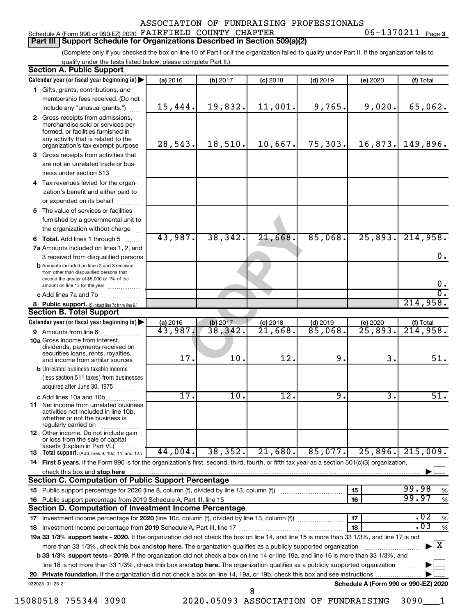#### Schedule A (Form 990 or 990-EZ) 2020  $\texttt{FARFIELD}\texttt{ COUNTY } \texttt{CHAPTER} \texttt{06--1370211}$  Page **Part III Support Schedule for Organizations Described in Section 509(a)(2)**

(Complete only if you checked the box on line 10 of Part I or if the organization failed to qualify under Part II. If the organization fails to qualify under the tests listed below, please complete Part II.)

|    | <b>Section A. Public Support</b><br>Calendar year (or fiscal year beginning in)                                                                                                                                                                                                 | (a) 2016 | (b) 2017 | $(c)$ 2018                            | $(d)$ 2019 | (e) 2020                             | (f) Total                                |
|----|---------------------------------------------------------------------------------------------------------------------------------------------------------------------------------------------------------------------------------------------------------------------------------|----------|----------|---------------------------------------|------------|--------------------------------------|------------------------------------------|
|    | 1 Gifts, grants, contributions, and                                                                                                                                                                                                                                             |          |          |                                       |            |                                      |                                          |
|    | membership fees received. (Do not                                                                                                                                                                                                                                               |          |          |                                       |            |                                      |                                          |
|    | include any "unusual grants.")                                                                                                                                                                                                                                                  | 15,444.  | 19,832.  | 11,001.                               | 9,765.     | 9,020.                               | 65,062.                                  |
|    | 2 Gross receipts from admissions,<br>merchandise sold or services per-<br>formed, or facilities furnished in<br>any activity that is related to the                                                                                                                             |          |          |                                       |            |                                      |                                          |
|    | organization's tax-exempt purpose                                                                                                                                                                                                                                               | 28,543.  | 18,510.  | 10,667.                               | 75,303.    | 16,873.                              | 149,896.                                 |
|    | 3 Gross receipts from activities that<br>are not an unrelated trade or bus-                                                                                                                                                                                                     |          |          |                                       |            |                                      |                                          |
|    | iness under section 513                                                                                                                                                                                                                                                         |          |          |                                       |            |                                      |                                          |
| 4  | Tax revenues levied for the organ-                                                                                                                                                                                                                                              |          |          |                                       |            |                                      |                                          |
|    | ization's benefit and either paid to<br>or expended on its behalf                                                                                                                                                                                                               |          |          |                                       |            |                                      |                                          |
|    | 5 The value of services or facilities                                                                                                                                                                                                                                           |          |          |                                       |            |                                      |                                          |
|    | furnished by a governmental unit to<br>the organization without charge                                                                                                                                                                                                          |          |          |                                       |            |                                      |                                          |
|    | 6 Total. Add lines 1 through 5                                                                                                                                                                                                                                                  | 43,987.  | 38, 342. | 21,668.                               | 85,068.    | 25,893.                              | 214,958.                                 |
|    | 7a Amounts included on lines 1, 2, and<br>3 received from disqualified persons                                                                                                                                                                                                  |          |          |                                       |            |                                      | 0.                                       |
|    | <b>b</b> Amounts included on lines 2 and 3 received<br>from other than disqualified persons that<br>exceed the greater of \$5,000 or 1% of the                                                                                                                                  |          |          |                                       |            |                                      |                                          |
|    | amount on line 13 for the year                                                                                                                                                                                                                                                  |          |          |                                       |            |                                      | $0 \cdot$                                |
|    | c Add lines 7a and 7b                                                                                                                                                                                                                                                           |          |          |                                       |            |                                      | $\overline{\mathfrak{o}}$ .              |
|    | 8 Public support. (Subtract line 7c from line 6.)                                                                                                                                                                                                                               |          |          |                                       |            |                                      | 214,958.                                 |
|    | <b>Section B. Total Support</b>                                                                                                                                                                                                                                                 |          |          |                                       |            |                                      |                                          |
|    | Calendar year (or fiscal year beginning in)                                                                                                                                                                                                                                     | (a) 2016 | (b) 2017 | $(c)$ 2018                            | $(d)$ 2019 | (e) 2020                             | (f) Total                                |
|    | 9 Amounts from line 6                                                                                                                                                                                                                                                           | 43,987.  | 38,342.  | $\overline{21,668}$                   | 85,068.    | $\overline{25,893}$                  | 214,958.                                 |
|    | <b>10a</b> Gross income from interest,<br>dividends, payments received on<br>securities loans, rents, royalties,<br>and income from similar sources                                                                                                                             | 17.      | 10.      | 12.                                   | 9.         | 3.                                   | 51.                                      |
|    | <b>b</b> Unrelated business taxable income                                                                                                                                                                                                                                      |          |          |                                       |            |                                      |                                          |
|    | (less section 511 taxes) from businesses<br>acquired after June 30, 1975                                                                                                                                                                                                        |          |          |                                       |            |                                      |                                          |
|    | c Add lines 10a and 10b                                                                                                                                                                                                                                                         | 17.      | 10.      | 12.                                   | 9.         | 3.                                   | 51.                                      |
|    | 11 Net income from unrelated business<br>activities not included in line 10b,<br>whether or not the business is<br>regularly carried on                                                                                                                                         |          |          |                                       |            |                                      |                                          |
|    | <b>12</b> Other income. Do not include gain<br>or loss from the sale of capital<br>assets (Explain in Part VI.)                                                                                                                                                                 |          |          |                                       |            |                                      |                                          |
|    | <b>13</b> Total support. (Add lines 9, 10c, 11, and 12.)                                                                                                                                                                                                                        | 44,004.  | 38, 352. | 21,680.                               | 85,077.    |                                      | $25,896.$ 215,009.                       |
|    | 14 First 5 years. If the Form 990 is for the organization's first, second, third, fourth, or fifth tax year as a section 501(c)(3) organization,                                                                                                                                |          |          |                                       |            |                                      |                                          |
|    | check this box and stop here                                                                                                                                                                                                                                                    |          |          |                                       |            |                                      |                                          |
|    | <b>Section C. Computation of Public Support Percentage</b>                                                                                                                                                                                                                      |          |          |                                       |            |                                      |                                          |
|    |                                                                                                                                                                                                                                                                                 |          |          |                                       |            | 15                                   | 99.98<br>%                               |
|    |                                                                                                                                                                                                                                                                                 |          |          |                                       |            | 16                                   | 99.97<br>%                               |
|    | Section D. Computation of Investment Income Percentage                                                                                                                                                                                                                          |          |          |                                       |            |                                      |                                          |
|    | 17 Investment income percentage for 2020 (line 10c, column (f), divided by line 13, column (f))                                                                                                                                                                                 |          |          |                                       |            | 17                                   | .02<br>%                                 |
| 18 | Investment income percentage from 2019 Schedule A, Part III, line 17                                                                                                                                                                                                            |          |          |                                       |            | 18                                   | .03<br>$\%$                              |
|    | 19a 33 1/3% support tests - 2020. If the organization did not check the box on line 14, and line 15 is more than 33 1/3%, and line 17 is not                                                                                                                                    |          |          |                                       |            |                                      |                                          |
|    | more than 33 1/3%, check this box and stop here. The organization qualifies as a publicly supported organization                                                                                                                                                                |          |          |                                       |            |                                      | $\blacktriangleright$ $\boxed{\text{X}}$ |
|    | <b>b 33 1/3% support tests - 2019.</b> If the organization did not check a box on line 14 or line 19a, and line 16 is more than 33 1/3%, and<br>line 18 is not more than 33 1/3%, check this box and stop here. The organization qualifies as a publicly supported organization |          |          |                                       |            |                                      |                                          |
|    |                                                                                                                                                                                                                                                                                 |          |          |                                       |            |                                      |                                          |
|    | 032023 01-25-21                                                                                                                                                                                                                                                                 |          |          |                                       |            | Schedule A (Form 990 or 990-EZ) 2020 |                                          |
|    |                                                                                                                                                                                                                                                                                 |          |          | 8                                     |            |                                      |                                          |
|    | 15080518 755344 3090                                                                                                                                                                                                                                                            |          |          | 2020.05093 ASSOCIATION OF FUNDRAISING |            |                                      | 3090                                     |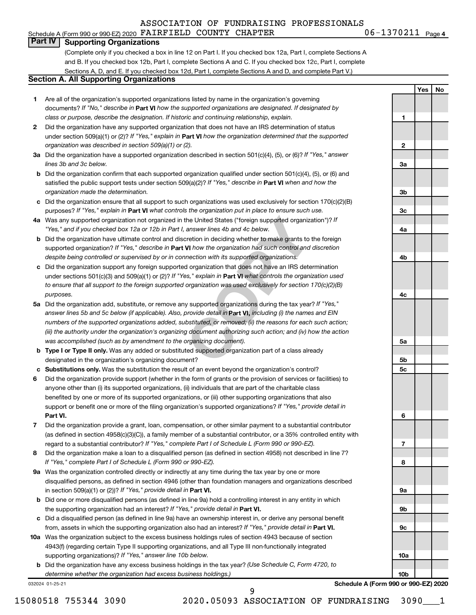Schedule A (Form 990 or 990-EZ) 2020  $\texttt{FARFIELD}\texttt{ COUNTY } \texttt{CHAPTER} \texttt{06--1370211}$  Page

06-1370211 Page 4

**1**

**2**

**3a**

**3b**

**3c**

**4a**

**4b**

**4c**

**5a**

**5b 5c**

**6**

**7**

**8**

**9a**

**9b**

**9c**

**Yes No**

#### **Part IV Supporting Organizations**

(Complete only if you checked a box in line 12 on Part I. If you checked box 12a, Part I, complete Sections A and B. If you checked box 12b, Part I, complete Sections A and C. If you checked box 12c, Part I, complete Sections A, D, and E. If you checked box 12d, Part I, complete Sections A and D, and complete Part V.)

# **Section A. All Supporting Organizations**

- **1** Are all of the organization's supported organizations listed by name in the organization's governing documents? If "No," describe in Part VI how the supported organizations are designated. If designated by *class or purpose, describe the designation. If historic and continuing relationship, explain.*
- **2** Did the organization have any supported organization that does not have an IRS determination of status under section 509(a)(1) or (2)? If "Yes," explain in Part **VI** how the organization determined that the supported *organization was described in section 509(a)(1) or (2).*
- **3a** Did the organization have a supported organization described in section 501(c)(4), (5), or (6)? If "Yes," answer *lines 3b and 3c below.*
- **b** Did the organization confirm that each supported organization qualified under section 501(c)(4), (5), or (6) and satisfied the public support tests under section 509(a)(2)? If "Yes," describe in Part VI when and how the *organization made the determination.*
- **c** Did the organization ensure that all support to such organizations was used exclusively for section 170(c)(2)(B) purposes? If "Yes," explain in Part VI what controls the organization put in place to ensure such use.
- **4 a** *If* Was any supported organization not organized in the United States ("foreign supported organization")? *"Yes," and if you checked box 12a or 12b in Part I, answer lines 4b and 4c below.*
- **b** Did the organization have ultimate control and discretion in deciding whether to make grants to the foreign supported organization? If "Yes," describe in Part VI how the organization had such control and discretion *despite being controlled or supervised by or in connection with its supported organizations.*
- **c** Did the organization support any foreign supported organization that does not have an IRS determination under sections 501(c)(3) and 509(a)(1) or (2)? If "Yes," explain in Part VI what controls the organization used *to ensure that all support to the foreign supported organization was used exclusively for section 170(c)(2)(B) purposes.*
- the United States ("foreign supported organization")? *l*<br>answer lines 4b and 4c below.<br>Consider the foreign supported organization")? *l*<br>answer lines 4b and 4c below.<br>**VI** how the organization had such control and discre **5a** Did the organization add, substitute, or remove any supported organizations during the tax year? If "Yes," answer lines 5b and 5c below (if applicable). Also, provide detail in **Part VI,** including (i) the names and EIN *numbers of the supported organizations added, substituted, or removed; (ii) the reasons for each such action; (iii) the authority under the organization's organizing document authorizing such action; and (iv) how the action was accomplished (such as by amendment to the organizing document).*
- **b** Type I or Type II only. Was any added or substituted supported organization part of a class already designated in the organization's organizing document?
- **c Substitutions only.**  Was the substitution the result of an event beyond the organization's control?
- **6** Did the organization provide support (whether in the form of grants or the provision of services or facilities) to **Part VI.** support or benefit one or more of the filing organization's supported organizations? If "Yes," provide detail in anyone other than (i) its supported organizations, (ii) individuals that are part of the charitable class benefited by one or more of its supported organizations, or (iii) other supporting organizations that also
- **7** Did the organization provide a grant, loan, compensation, or other similar payment to a substantial contributor regard to a substantial contributor? If "Yes," complete Part I of Schedule L (Form 990 or 990-EZ). (as defined in section 4958(c)(3)(C)), a family member of a substantial contributor, or a 35% controlled entity with
- **8** Did the organization make a loan to a disqualified person (as defined in section 4958) not described in line 7? *If "Yes," complete Part I of Schedule L (Form 990 or 990-EZ).*
- **9 a** Was the organization controlled directly or indirectly at any time during the tax year by one or more in section 509(a)(1) or (2))? If "Yes," provide detail in **Part VI.** disqualified persons, as defined in section 4946 (other than foundation managers and organizations described
- **b** Did one or more disqualified persons (as defined in line 9a) hold a controlling interest in any entity in which the supporting organization had an interest? If "Yes," provide detail in Part VI.
- **c** Did a disqualified person (as defined in line 9a) have an ownership interest in, or derive any personal benefit from, assets in which the supporting organization also had an interest? If "Yes," provide detail in Part VI.
- **10 a** Was the organization subject to the excess business holdings rules of section 4943 because of section supporting organizations)? If "Yes," answer line 10b below. 4943(f) (regarding certain Type II supporting organizations, and all Type III non-functionally integrated
	- **b** Did the organization have any excess business holdings in the tax year? (Use Schedule C, Form 4720, to *determine whether the organization had excess business holdings.)*

032024 01-25-21

**10a 10b Schedule A (Form 990 or 990-EZ) 2020**

15080518 755344 3090 2020.05093 ASSOCIATION OF FUNDRAISING 3090\_\_\_1

9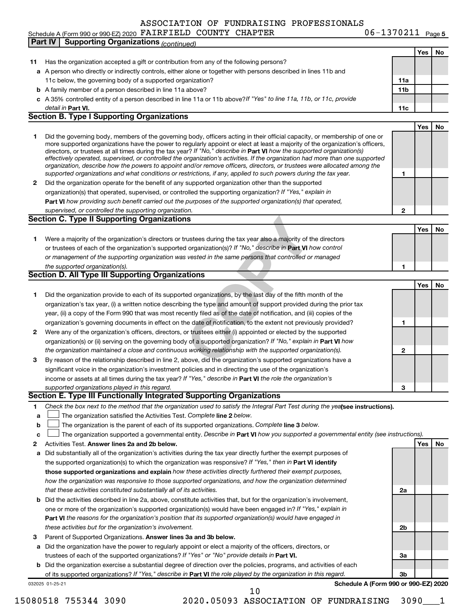06-1370211 <sub>Page 5</sub>

## Schedule A (Form 990 or 990-EZ) 2020  $\texttt{FARFIELD}\texttt{ COUNTY } \texttt{CHAPTER} \texttt{06--1370211}$  Page

**IS**<br> **COPYTE EXECUTE:**<br> **COPY TET ATTE THE COPY OF THE COPY OF THE COPY OF THE COPY OF SYSTEM IS USED THE VI how controlled or manage<br>
<b>COPY TET ATTE COPY TET ATT VI how controlled or manage**<br> **COPY TET ATT ATT COPY TET A** 032025 01-25-21 **Yes No 11** Has the organization accepted a gift or contribution from any of the following persons? **a** A person who directly or indirectly controls, either alone or together with persons described in lines 11b and **b** A family member of a person described in line 11a above? **c** *If "Yes" to line 11a, 11b, or 11c, provide* A 35% controlled entity of a person described in line 11a or 11b above? **11a 11b Part VI. 11c Yes No 1** Did the governing body, members of the governing body, officers acting in their official capacity, or membership of one or **2** Did the organization operate for the benefit of any supported organization other than the supported directors, or trustees at all times during the tax year? If "No," describe in Part VI how the supported organization(s) **1 2 Part VI**  *how providing such benefit carried out the purposes of the supported organization(s) that operated,* **Yes No 1** Were a majority of the organization's directors or trustees during the tax year also a majority of the directors or trustees of each of the organization's supported organization(s)? If "No," describe in Part VI how control **1 Yes No 1** Did the organization provide to each of its supported organizations, by the last day of the fifth month of the **2** Were any of the organization's officers, directors, or trustees either (i) appointed or elected by the supported **3** By reason of the relationship described in line 2, above, did the organization's supported organizations have a **1 2 3** organization(s) or (ii) serving on the governing body of a supported organization? If "No," explain in Part VI how income or assets at all times during the tax year? If "Yes," describe in Part VI the role the organization's **1 2 Answer lines 2a and 2b below. Yes No** Activities Test. 3 Parent of Supported Organizations. Answer lines 3a and 3b below. Check the box next to the method that the organization used to satisfy the Integral Part Test during the yealsee instructions). **a b c The organization satisfied the Activities Test. Complete line 2 below.** The organization is the parent of each of its supported organizations. Complete line 3 below. The organization supported a governmental entity. Describe in Part VI how you supported a governmental entity (see instructions). **a** Did substantially all of the organization's activities during the tax year directly further the exempt purposes of **b** Did the activities described in line 2a, above, constitute activities that, but for the organization's involvement, **a** Did the organization have the power to regularly appoint or elect a majority of the officers, directors, or **b** Did the organization exercise a substantial degree of direction over the policies, programs, and activities of each the supported organization(s) to which the organization was responsive? If "Yes," then in Part VI identify **those supported organizations and explain**  *how these activities directly furthered their exempt purposes,* **2a 2b 3a 3b Part VI**  *the reasons for the organization's position that its supported organization(s) would have engaged in* trustees of each of the supported organizations? If "Yes" or "No" provide details in Part VI. of its supported organizations? If "Yes," describe in Part VI the role played by the organization in this regard. **Schedule A (Form 990 or 990-EZ) 2020** detail in Part VI. *effectively operated, supervised, or controlled the organization's activities. If the organization had more than one supported organization, describe how the powers to appoint and/or remove officers, directors, or trustees were allocated among the supported organizations and what conditions or restrictions, if any, applied to such powers during the tax year.* organization(s) that operated, supervised, or controlled the supporting organization? If "Yes," explain in *supervised, or controlled the supporting organization. or management of the supporting organization was vested in the same persons that controlled or managed the supported organization(s). the organization maintained a close and continuous working relationship with the supported organization(s). supported organizations played in this regard. how the organization was responsive to those supported organizations, and how the organization determined that these activities constituted substantially all of its activities.* one or more of the organization's supported organization(s) would have been engaged in? If "Yes," explain in *these activities but for the organization's involvement.* 11c below, the governing body of a supported organization? more supported organizations have the power to regularly appoint or elect at least a majority of the organization's officers, organization's tax year, (i) a written notice describing the type and amount of support provided during the prior tax year, (ii) a copy of the Form 990 that was most recently filed as of the date of notification, and (iii) copies of the organization's governing documents in effect on the date of notification, to the extent not previously provided? significant voice in the organization's investment policies and in directing the use of the organization's **Part IV Supporting Organizations** *(continued)* **Section B. Type I Supporting Organizations Section C. Type II Supporting Organizations Section D. All Type III Supporting Organizations Section E. Type III Functionally Integrated Supporting Organizations**  $\Box$  $\Box$ 

10

<sup>15080518 755344 3090 2020.05093</sup> ASSOCIATION OF FUNDRAISING 3090\_\_\_1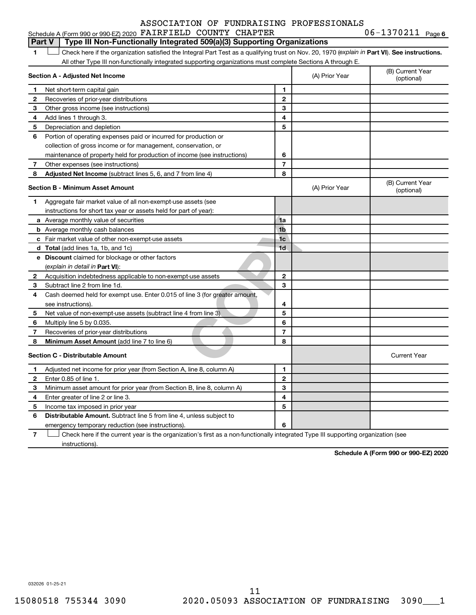#### 1a<br>
1a<br>
1b<br>
1c<br>
1d<br>
1c<br>
1d<br>
1c<br>
1d<br>
2<br>
2<br>
3<br>
3<br>
line 3 (for greater amount,<br>
4<br>
5<br>
6<br>
7<br>
8 **1 Part VI** Check here if the organization satisfied the Integral Part Test as a qualifying trust on Nov. 20, 1970 (*explain in* Part **VI**). See instructions. **Section A - Adjusted Net Income 1 2 3 4 5 6 7 8 1 2 3 4 5 6 7 Adjusted Net Income** (subtract lines 5, 6, and 7 from line 4) **8 8 Section B - Minimum Asset Amount 1 2 3 4 5 6 7 8 a** Average monthly value of securities **b** Average monthly cash balances **c** Fair market value of other non-exempt-use assets **d Total**  (add lines 1a, 1b, and 1c) **e Discount** claimed for blockage or other factors **1a 1b 1c 1d 2 3 4 5 6 7 8** (explain in detail in Part VI): **Minimum Asset Amount**  (add line 7 to line 6) **Section C - Distributable Amount 1 2 3 4 5 6 1 2 3 4 5 6** Distributable Amount. Subtract line 5 from line 4, unless subject to Schedule A (Form 990 or 990-EZ) 2020  $\texttt{FARFIELD}\texttt{ COUNTY } \texttt{CHAPTER} \texttt{06--1370211}$  Page All other Type III non-functionally integrated supporting organizations must complete Sections A through E. (B) Current Year (A) Prior Year Net short-term capital gain Recoveries of prior-year distributions Other gross income (see instructions) Add lines 1 through 3. Depreciation and depletion Portion of operating expenses paid or incurred for production or collection of gross income or for management, conservation, or maintenance of property held for production of income (see instructions) Other expenses (see instructions) (B) Current Year  $(A)$  Prior Year  $\left\{\n\begin{array}{ccc}\n\end{array}\n\right\}$  (optional) Aggregate fair market value of all non-exempt-use assets (see instructions for short tax year or assets held for part of year): Acquisition indebtedness applicable to non-exempt-use assets Subtract line 2 from line 1d. Cash deemed held for exempt use. Enter 0.015 of line 3 (for greater amount, see instructions). Net value of non-exempt-use assets (subtract line 4 from line 3) Multiply line 5 by 0.035. Recoveries of prior-year distributions Current Year Adjusted net income for prior year (from Section A, line 8, column A) Enter 0.85 of line 1. Minimum asset amount for prior year (from Section B, line 8, column A) Enter greater of line 2 or line 3. Income tax imposed in prior year emergency temporary reduction (see instructions). **Part V** Type III Non-Functionally Integrated 509(a)(3) Supporting Organizations  $\Box$

**7** Check here if the current year is the organization's first as a non-functionally integrated Type III supporting organization (see † instructions).

**Schedule A (Form 990 or 990-EZ) 2020**

032026 01-25-21

06-1370211 Page 6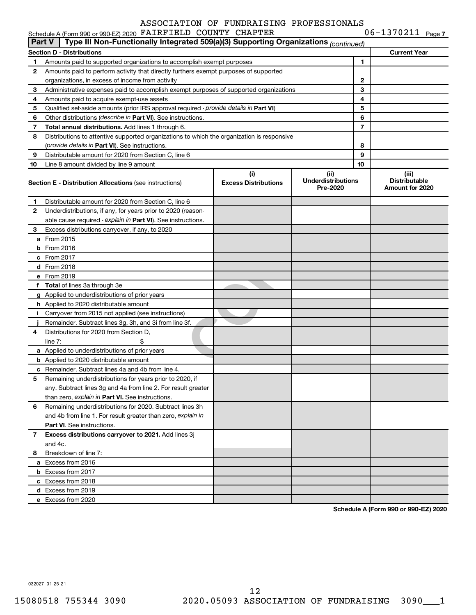| Schedule A (Form 990 or 990-EZ) 2020 FAIRFIELD COUNTY CHAPTER | $06 - 1370211$ Page 7                                                                      |                                    |                                               |    |                                                  |
|---------------------------------------------------------------|--------------------------------------------------------------------------------------------|------------------------------------|-----------------------------------------------|----|--------------------------------------------------|
| Part V                                                        | Type III Non-Functionally Integrated 509(a)(3) Supporting Organizations (continued)        |                                    |                                               |    |                                                  |
|                                                               | <b>Section D - Distributions</b>                                                           |                                    |                                               |    | <b>Current Year</b>                              |
| 1                                                             | Amounts paid to supported organizations to accomplish exempt purposes                      |                                    |                                               | 1  |                                                  |
| 2                                                             | Amounts paid to perform activity that directly furthers exempt purposes of supported       |                                    |                                               |    |                                                  |
|                                                               | organizations, in excess of income from activity                                           |                                    |                                               | 2  |                                                  |
| 3                                                             | Administrative expenses paid to accomplish exempt purposes of supported organizations      |                                    |                                               | 3  |                                                  |
| 4                                                             | Amounts paid to acquire exempt-use assets                                                  |                                    |                                               | 4  |                                                  |
| 5                                                             | Qualified set-aside amounts (prior IRS approval required - provide details in Part VI)     |                                    |                                               | 5  |                                                  |
| 6                                                             | Other distributions (describe in Part VI). See instructions.                               |                                    |                                               | 6  |                                                  |
| 7                                                             | Total annual distributions. Add lines 1 through 6.                                         |                                    |                                               | 7  |                                                  |
| 8                                                             | Distributions to attentive supported organizations to which the organization is responsive |                                    |                                               |    |                                                  |
|                                                               | (provide details in Part VI). See instructions.                                            |                                    |                                               | 8  |                                                  |
| 9                                                             | Distributable amount for 2020 from Section C, line 6                                       |                                    |                                               | 9  |                                                  |
| 10                                                            | Line 8 amount divided by line 9 amount                                                     |                                    |                                               | 10 |                                                  |
|                                                               | <b>Section E - Distribution Allocations (see instructions)</b>                             | (i)<br><b>Excess Distributions</b> | (ii)<br><b>Underdistributions</b><br>Pre-2020 |    | (iii)<br><b>Distributable</b><br>Amount for 2020 |
| 1                                                             | Distributable amount for 2020 from Section C, line 6                                       |                                    |                                               |    |                                                  |
| 2                                                             | Underdistributions, if any, for years prior to 2020 (reason-                               |                                    |                                               |    |                                                  |
|                                                               | able cause required - explain in Part VI). See instructions.                               |                                    |                                               |    |                                                  |
| 3                                                             | Excess distributions carryover, if any, to 2020                                            |                                    |                                               |    |                                                  |
|                                                               | a From 2015                                                                                |                                    |                                               |    |                                                  |
|                                                               | $b$ From 2016                                                                              |                                    |                                               |    |                                                  |
|                                                               | c From 2017                                                                                |                                    |                                               |    |                                                  |
|                                                               | d From 2018                                                                                |                                    |                                               |    |                                                  |
|                                                               | e From 2019                                                                                |                                    |                                               |    |                                                  |
|                                                               | f Total of lines 3a through 3e                                                             |                                    |                                               |    |                                                  |
|                                                               | g Applied to underdistributions of prior years                                             |                                    |                                               |    |                                                  |
|                                                               | h Applied to 2020 distributable amount                                                     |                                    |                                               |    |                                                  |
| Ť.                                                            | Carryover from 2015 not applied (see instructions)                                         |                                    |                                               |    |                                                  |
|                                                               | Remainder. Subtract lines 3g, 3h, and 3i from line 3f.                                     |                                    |                                               |    |                                                  |
| 4                                                             | Distributions for 2020 from Section D,                                                     |                                    |                                               |    |                                                  |
|                                                               | line $7:$                                                                                  |                                    |                                               |    |                                                  |
|                                                               | a Applied to underdistributions of prior years                                             |                                    |                                               |    |                                                  |
|                                                               | <b>b</b> Applied to 2020 distributable amount                                              |                                    |                                               |    |                                                  |
|                                                               | c Remainder. Subtract lines 4a and 4b from line 4.                                         |                                    |                                               |    |                                                  |
|                                                               | 5 Remaining underdistributions for years prior to 2020, if                                 |                                    |                                               |    |                                                  |
|                                                               | any. Subtract lines 3q and 4a from line 2. For result greater                              |                                    |                                               |    |                                                  |
|                                                               | than zero, explain in Part VI. See instructions.                                           |                                    |                                               |    |                                                  |
| 6                                                             | Remaining underdistributions for 2020. Subtract lines 3h                                   |                                    |                                               |    |                                                  |
|                                                               | and 4b from line 1. For result greater than zero, explain in                               |                                    |                                               |    |                                                  |
|                                                               | <b>Part VI.</b> See instructions.                                                          |                                    |                                               |    |                                                  |
| 7                                                             | Excess distributions carryover to 2021. Add lines 3j                                       |                                    |                                               |    |                                                  |
|                                                               | and 4c.                                                                                    |                                    |                                               |    |                                                  |
| 8                                                             | Breakdown of line 7:                                                                       |                                    |                                               |    |                                                  |
|                                                               | a Excess from 2016                                                                         |                                    |                                               |    |                                                  |
|                                                               | <b>b</b> Excess from 2017                                                                  |                                    |                                               |    |                                                  |
|                                                               | c Excess from 2018                                                                         |                                    |                                               |    |                                                  |
|                                                               | d Excess from 2019                                                                         |                                    |                                               |    |                                                  |
|                                                               | e Excess from 2020                                                                         |                                    |                                               |    |                                                  |
|                                                               |                                                                                            |                                    |                                               |    |                                                  |

**Schedule A (Form 990 or 990-EZ) 2020**

032027 01-25-21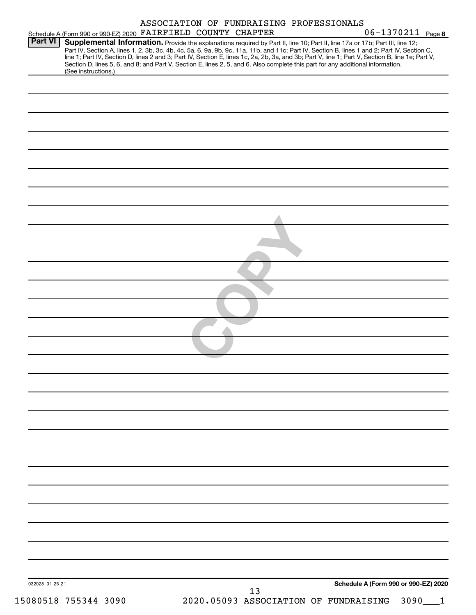|                 | Schedule A (Form 990 or 990-EZ) 2020 FAIRFIELD COUNTY CHAPTER                                                                                                                                                                                                                           |  |    | ASSOCIATION OF FUNDRAISING PROFESSIONALS | 06-1370211 Page 8                                                                                                                                                                                                                                                                                |
|-----------------|-----------------------------------------------------------------------------------------------------------------------------------------------------------------------------------------------------------------------------------------------------------------------------------------|--|----|------------------------------------------|--------------------------------------------------------------------------------------------------------------------------------------------------------------------------------------------------------------------------------------------------------------------------------------------------|
| <b>Part VI</b>  | Supplemental Information. Provide the explanations required by Part II, line 10; Part II, line 17a or 17b; Part III, line 12;<br>Section D, lines 5, 6, and 8; and Part V, Section E, lines 2, 5, and 6. Also complete this part for any additional information.<br>(See instructions.) |  |    |                                          | Part IV, Section A, lines 1, 2, 3b, 3c, 4b, 4c, 5a, 6, 9a, 9b, 9c, 11a, 11b, and 11c; Part IV, Section B, lines 1 and 2; Part IV, Section C,<br>line 1; Part IV, Section D, lines 2 and 3; Part IV, Section E, lines 1c, 2a, 2b, 3a, and 3b; Part V, line 1; Part V, Section B, line 1e; Part V, |
|                 |                                                                                                                                                                                                                                                                                         |  |    |                                          |                                                                                                                                                                                                                                                                                                  |
|                 |                                                                                                                                                                                                                                                                                         |  |    |                                          |                                                                                                                                                                                                                                                                                                  |
|                 |                                                                                                                                                                                                                                                                                         |  |    |                                          |                                                                                                                                                                                                                                                                                                  |
|                 |                                                                                                                                                                                                                                                                                         |  |    |                                          |                                                                                                                                                                                                                                                                                                  |
|                 |                                                                                                                                                                                                                                                                                         |  |    |                                          |                                                                                                                                                                                                                                                                                                  |
|                 |                                                                                                                                                                                                                                                                                         |  |    |                                          |                                                                                                                                                                                                                                                                                                  |
|                 |                                                                                                                                                                                                                                                                                         |  |    |                                          |                                                                                                                                                                                                                                                                                                  |
|                 |                                                                                                                                                                                                                                                                                         |  |    |                                          |                                                                                                                                                                                                                                                                                                  |
|                 |                                                                                                                                                                                                                                                                                         |  |    |                                          |                                                                                                                                                                                                                                                                                                  |
|                 |                                                                                                                                                                                                                                                                                         |  |    |                                          |                                                                                                                                                                                                                                                                                                  |
|                 |                                                                                                                                                                                                                                                                                         |  |    |                                          |                                                                                                                                                                                                                                                                                                  |
|                 |                                                                                                                                                                                                                                                                                         |  |    |                                          |                                                                                                                                                                                                                                                                                                  |
|                 |                                                                                                                                                                                                                                                                                         |  |    |                                          |                                                                                                                                                                                                                                                                                                  |
|                 |                                                                                                                                                                                                                                                                                         |  |    |                                          |                                                                                                                                                                                                                                                                                                  |
|                 |                                                                                                                                                                                                                                                                                         |  |    |                                          |                                                                                                                                                                                                                                                                                                  |
|                 |                                                                                                                                                                                                                                                                                         |  |    |                                          |                                                                                                                                                                                                                                                                                                  |
|                 |                                                                                                                                                                                                                                                                                         |  |    |                                          |                                                                                                                                                                                                                                                                                                  |
|                 |                                                                                                                                                                                                                                                                                         |  |    |                                          |                                                                                                                                                                                                                                                                                                  |
|                 |                                                                                                                                                                                                                                                                                         |  |    |                                          |                                                                                                                                                                                                                                                                                                  |
|                 |                                                                                                                                                                                                                                                                                         |  |    |                                          |                                                                                                                                                                                                                                                                                                  |
|                 |                                                                                                                                                                                                                                                                                         |  |    |                                          |                                                                                                                                                                                                                                                                                                  |
|                 |                                                                                                                                                                                                                                                                                         |  |    |                                          |                                                                                                                                                                                                                                                                                                  |
|                 |                                                                                                                                                                                                                                                                                         |  |    |                                          |                                                                                                                                                                                                                                                                                                  |
|                 |                                                                                                                                                                                                                                                                                         |  |    |                                          |                                                                                                                                                                                                                                                                                                  |
| 032028 01-25-21 |                                                                                                                                                                                                                                                                                         |  |    |                                          | Schedule A (Form 990 or 990-EZ) 2020                                                                                                                                                                                                                                                             |
|                 | 15080518 755344 3090                                                                                                                                                                                                                                                                    |  | 13 | 2020.05093 ASSOCIATION OF FUNDRAISING    | 3090                                                                                                                                                                                                                                                                                             |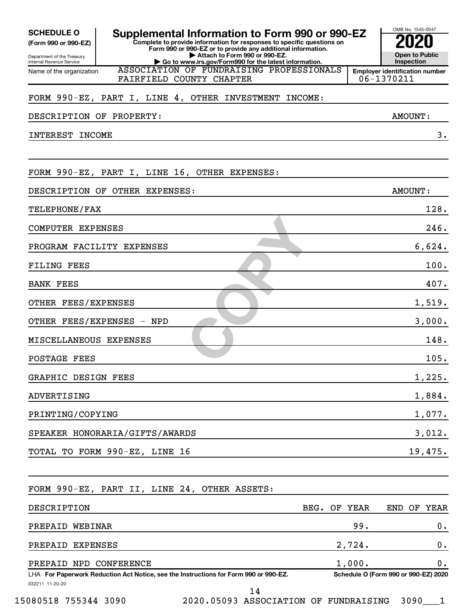| <b>SCHEDULE O</b><br>Supplemental Information to Form 990 or 990-EZ<br>Complete to provide information for responses to specific questions on<br>(Form 990 or 990-EZ)<br>Form 990 or 990-EZ or to provide any additional information. |         | OMB No. 1545-0047                                   |
|---------------------------------------------------------------------------------------------------------------------------------------------------------------------------------------------------------------------------------------|---------|-----------------------------------------------------|
| Attach to Form 990 or 990-EZ.<br>Department of the Treasury<br>Go to www.irs.gov/Form990 for the latest information.<br>Internal Revenue Service                                                                                      |         | <b>Open to Public</b><br>Inspection                 |
| ASSOCIATION OF FUNDRAISING PROFESSIONALS<br>Name of the organization<br>FAIRFIELD COUNTY CHAPTER                                                                                                                                      |         | <b>Employer identification number</b><br>06-1370211 |
| FORM 990-EZ, PART I, LINE 4, OTHER INVESTMENT INCOME:                                                                                                                                                                                 |         |                                                     |
| DESCRIPTION OF PROPERTY:                                                                                                                                                                                                              |         | AMOUNT:                                             |
| INTEREST INCOME                                                                                                                                                                                                                       |         | 3.                                                  |
| FORM 990-EZ, PART I, LINE 16, OTHER EXPENSES:                                                                                                                                                                                         |         |                                                     |
| DESCRIPTION OF OTHER EXPENSES:                                                                                                                                                                                                        |         | AMOUNT:                                             |
| TELEPHONE/FAX                                                                                                                                                                                                                         |         | 128.                                                |
| COMPUTER EXPENSES                                                                                                                                                                                                                     |         | 246.                                                |
| PROGRAM FACILITY EXPENSES                                                                                                                                                                                                             |         | 6,624.                                              |
| <b>FILING FEES</b>                                                                                                                                                                                                                    |         | 100.                                                |
| <b>BANK FEES</b>                                                                                                                                                                                                                      |         | 407.                                                |
| OTHER FEES/EXPENSES                                                                                                                                                                                                                   |         | 1,519.                                              |
| OTHER FEES/EXPENSES - NPD                                                                                                                                                                                                             |         | 3,000.                                              |
| MISCELLANEOUS EXPENSES                                                                                                                                                                                                                |         | 148.                                                |
| <b>POSTAGE FEES</b>                                                                                                                                                                                                                   |         | 105.                                                |
| GRAPHIC DESIGN FEES                                                                                                                                                                                                                   |         | 1,225.                                              |
| ADVERTISING                                                                                                                                                                                                                           |         | 1,884.                                              |
| PRINTING/COPYING                                                                                                                                                                                                                      |         | 1,077.                                              |
| SPEAKER HONORARIA/GIFTS/AWARDS                                                                                                                                                                                                        |         | 3,012.                                              |
| TOTAL TO FORM 990-EZ, LINE 16                                                                                                                                                                                                         |         | 19,475.                                             |
| FORM 990-EZ, PART II, LINE 24, OTHER ASSETS:                                                                                                                                                                                          |         |                                                     |
| DESCRIPTION<br>BEG.                                                                                                                                                                                                                   | OF YEAR | END OF YEAR                                         |
| PREPAID WEBINAR                                                                                                                                                                                                                       | 99.     | 0.                                                  |
| PREPAID EXPENSES                                                                                                                                                                                                                      | 2,724.  | 0.                                                  |
| PREPAID NPD CONFERENCE                                                                                                                                                                                                                | 1,000.  | 0.                                                  |
| LHA For Paperwork Reduction Act Notice, see the Instructions for Form 990 or 990-EZ.<br>032211 11-20-20<br>14                                                                                                                         |         | Schedule O (Form 990 or 990-EZ) 2020                |

15080518 755344 3090 2020.05093 ASSOCIATION OF FUNDRAISING 3090\_\_\_1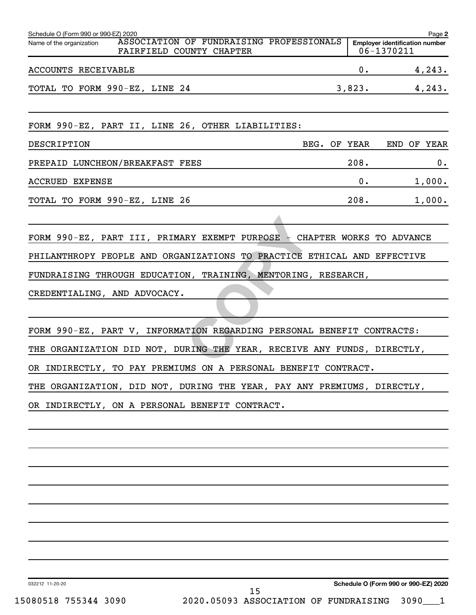| Schedule O (Form 990 or 990-EZ) 2020                                                             |        | Page 2                                              |
|--------------------------------------------------------------------------------------------------|--------|-----------------------------------------------------|
| ASSOCIATION OF FUNDRAISING PROFESSIONALS<br>Name of the organization<br>FAIRFIELD COUNTY CHAPTER |        | <b>Employer identification number</b><br>06-1370211 |
| ACCOUNTS RECEIVABLE                                                                              | 0.     | 4,243.                                              |
| TOTAL TO FORM 990-EZ, LINE 24                                                                    | 3,823. | 4,243.                                              |
| FORM 990-EZ, PART II, LINE 26, OTHER LIABILITIES:                                                |        |                                                     |
| DESCRIPTION<br>BEG. OF YEAR                                                                      |        | END OF YEAR                                         |
| PREPAID LUNCHEON/BREAKFAST FEES                                                                  | 208.   | 0.                                                  |
| <b>ACCRUED EXPENSE</b>                                                                           | 0.     | 1,000.                                              |
| TOTAL TO FORM 990-EZ, LINE 26                                                                    | 208.   | 1,000.                                              |
|                                                                                                  |        |                                                     |
| FORM 990-EZ, PART III, PRIMARY EXEMPT PURPOSE - CHAPTER WORKS TO ADVANCE                         |        |                                                     |
| PHILANTHROPY PEOPLE AND ORGANIZATIONS TO PRACTICE ETHICAL AND EFFECTIVE                          |        |                                                     |
| FUNDRAISING THROUGH EDUCATION, TRAINING, MENTORING, RESEARCH,                                    |        |                                                     |
| CREDENTIALING, AND ADVOCACY.                                                                     |        |                                                     |
|                                                                                                  |        |                                                     |
| FORM 990-EZ, PART V, INFORMATION REGARDING PERSONAL BENEFIT CONTRACTS:                           |        |                                                     |
| THE ORGANIZATION DID NOT, DURING THE YEAR, RECEIVE ANY FUNDS, DIRECTLY,                          |        |                                                     |
| OR INDIRECTLY, TO PAY PREMIUMS ON A PERSONAL BENEFIT CONTRACT.                                   |        |                                                     |
| THE ORGANIZATION, DID NOT, DURING THE YEAR, PAY ANY PREMIUMS, DIRECTLY,                          |        |                                                     |
| OR INDIRECTLY, ON A PERSONAL BENEFIT CONTRACT.                                                   |        |                                                     |
|                                                                                                  |        |                                                     |
|                                                                                                  |        |                                                     |
|                                                                                                  |        |                                                     |
|                                                                                                  |        |                                                     |
|                                                                                                  |        |                                                     |
|                                                                                                  |        |                                                     |
|                                                                                                  |        |                                                     |
|                                                                                                  |        |                                                     |
|                                                                                                  |        |                                                     |
|                                                                                                  |        |                                                     |

032212 11-20-20